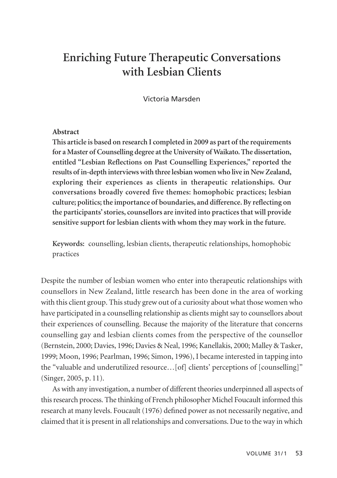# **Enriching Future Therapeutic Conversations with Lesbian Clients**

Victoria Marsden

## **Abstract**

**This article is based on research I completed in 2009 as part of the requirements for a Master of Counselling degree at the University of Waikato. The dissertation, entitled "Lesbian Reflections on Past Counselling Experiences," reported the results of in-depth interviews with three lesbian women who live in New Zealand, exploring their experiences as clients in therapeutic relationships. Our conversations broadly covered five themes: homophobic practices; lesbian culture; politics; the importance of boundaries, and difference. By reflecting on the participants' stories, counsellors are invited into practices that will provide sensitive support for lesbian clients with whom they may work in the future.** 

**Keywords:** counselling, lesbian clients, therapeutic relationships, homophobic practices

Despite the number of lesbian women who enter into therapeutic relationships with counsellors in New Zealand, little research has been done in the area of working with this client group. This study grew out of a curiosity about what those women who have participated in a counselling relationship as clients might say to counsellors about their experiences of counselling. Because the majority of the literature that concerns counselling gay and lesbian clients comes from the perspective of the counsellor (Bernstein, 2000; Davies, 1996; Davies & Neal, 1996; Kanellakis, 2000; Malley & Tasker, 1999; Moon, 1996; Pearlman, 1996; Simon, 1996), I became interested in tapping into the "valuable and underutilized resource…[of] clients' perceptions of [counselling]" (Singer, 2005, p. 11).

As with any investigation, a number of different theories underpinned all aspects of this research process. The thinking of French philosopher Michel Foucault informed this research at many levels. Foucault (1976) defined power as not necessarily negative, and claimed that it is present in all relationships and conversations. Due to the way in which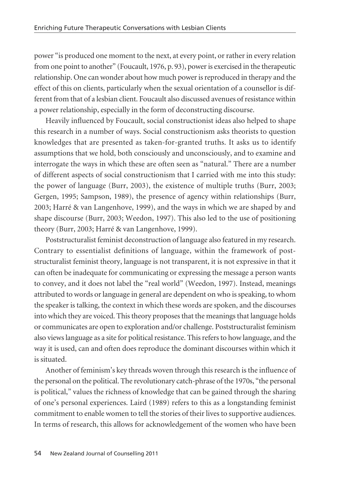power "is produced one moment to the next, at every point, or rather in every relation from one point to another" (Foucault, 1976, p. 93), power is exercised in the therapeutic relationship. One can wonder about how much power is reproduced in therapy and the effect of this on clients, particularly when the sexual orientation of a counsellor is different from that of a lesbian client. Foucault also discussed avenues of resistance within a power relationship, especially in the form of deconstructing discourse.

Heavily influenced by Foucault, social constructionist ideas also helped to shape this research in a number of ways. Social constructionism asks theorists to question knowledges that are presented as taken-for-granted truths. It asks us to identify assumptions that we hold, both consciously and unconsciously, and to examine and interrogate the ways in which these are often seen as "natural." There are a number of different aspects of social constructionism that I carried with me into this study: the power of language (Burr, 2003), the existence of multiple truths (Burr, 2003; Gergen, 1995; Sampson, 1989), the presence of agency within relationships (Burr, 2003; Harré & van Langenhove, 1999), and the ways in which we are shaped by and shape discourse (Burr, 2003; Weedon, 1997). This also led to the use of positioning theory (Burr, 2003; Harré & van Langenhove, 1999).

Poststructuralist feminist deconstruction of language also featured in my research. Contrary to essentialist definitions of language, within the framework of poststructuralist feminist theory, language is not transparent, it is not expressive in that it can often be inadequate for communicating or expressing the message a person wants to convey, and it does not label the "real world" (Weedon, 1997). Instead, meanings attributed to words or language in general are dependent on who is speaking, to whom the speaker is talking, the context in which these words are spoken, and the discourses into which they are voiced. This theory proposes that the meanings that language holds or communicates are open to exploration and/or challenge. Poststructuralist feminism also views language as a site for political resistance. This refers to how language, and the way it is used, can and often does reproduce the dominant discourses within which it is situated.

Another of feminism's key threads woven through this research is the influence of the personal on the political. The revolutionary catch-phrase of the 1970s, "the personal is political," values the richness of knowledge that can be gained through the sharing of one's personal experiences. Laird (1989) refers to this as a longstanding feminist commitment to enable women to tell the stories of their lives to supportive audiences. In terms of research, this allows for acknowledgement of the women who have been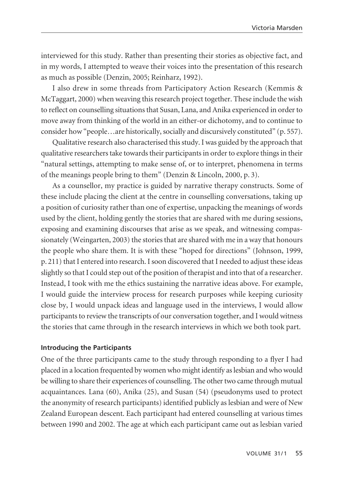interviewed for this study. Rather than presenting their stories as objective fact, and in my words, I attempted to weave their voices into the presentation of this research as much as possible (Denzin, 2005; Reinharz, 1992).

I also drew in some threads from Participatory Action Research (Kemmis & McTaggart, 2000) when weaving this research project together. These include the wish to reflect on counselling situations that Susan, Lana, and Anika experienced in order to move away from thinking of the world in an either-or dichotomy, and to continue to consider how "people…are historically, socially and discursively constituted" (p. 557).

Qualitative research also characterised this study. I was guided by the approach that qualitative researchers take towards their participants in order to explore things in their "natural settings, attempting to make sense of, or to interpret, phenomena in terms of the meanings people bring to them" (Denzin & Lincoln, 2000, p. 3).

As a counsellor, my practice is guided by narrative therapy constructs. Some of these include placing the client at the centre in counselling conversations, taking up a position of curiosity rather than one of expertise, unpacking the meanings of words used by the client, holding gently the stories that are shared with me during sessions, exposing and examining discourses that arise as we speak, and witnessing compassionately (Weingarten, 2003) the stories that are shared with me in a way that honours the people who share them. It is with these "hoped for directions" (Johnson, 1999, p. 211) that I entered into research. I soon discovered that I needed to adjust these ideas slightly so that I could step out of the position of therapist and into that of a researcher. Instead, I took with me the ethics sustaining the narrative ideas above. For example, I would guide the interview process for research purposes while keeping curiosity close by, I would unpack ideas and language used in the interviews, I would allow participants to review the transcripts of our conversation together, and I would witness the stories that came through in the research interviews in which we both took part.

#### **Introducing the Participants**

One of the three participants came to the study through responding to a flyer I had placed in a location frequented by women who might identify as lesbian and who would be willing to share their experiences of counselling. The other two came through mutual acquaintances. Lana (60), Anika (25), and Susan (54) (pseudonyms used to protect the anonymity of research participants) identified publicly as lesbian and were of New Zealand European descent. Each participant had entered counselling at various times between 1990 and 2002. The age at which each participant came out as lesbian varied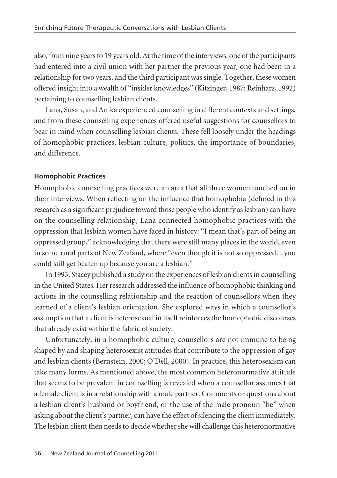also, from nine years to 19 years old. At the time of the interviews, one of the participants had entered into a civil union with her partner the previous year, one had been in a relationship for two years, and the third participant was single. Together, these women offered insight into a wealth of "insider knowledges" (Kitzinger, 1987; Reinharz, 1992) pertaining to counselling lesbian clients.

Lana, Susan, and Anika experienced counselling in different contexts and settings, and from these counselling experiences offered useful suggestions for counsellors to bear in mind when counselling lesbian clients. These fell loosely under the headings of homophobic practices, lesbian culture, politics, the importance of boundaries, and difference.

## **Homophobic Practices**

Homophobic counselling practices were an area that all three women touched on in their interviews. When reflecting on the influence that homophobia (defined in this research as a significant prejudice toward those people who identify as lesbian) can have on the counselling relationship, Lana connected homophobic practices with the oppression that lesbian women have faced in history: "I mean that's part of being an oppressed group," acknowledging that there were still many places in the world, even in some rural parts of New Zealand, where "even though it is not so oppressed…you could still get beaten up because you are a lesbian."

In 1993, Stacey published a study on the experiences of lesbian clients in counselling in the United States. Her research addressed the influence of homophobic thinking and actions in the counselling relationship and the reaction of counsellors when they learned of a client's lesbian orientation. She explored ways in which a counsellor's assumption that a client is heterosexual in itself reinforces the homophobic discourses that already exist within the fabric of society.

Unfortunately, in a homophobic culture, counsellors are not immune to being shaped by and shaping heterosexist attitudes that contribute to the oppression of gay and lesbian clients (Bernstein, 2000; O'Dell, 2000). In practice, this heterosexism can take many forms. As mentioned above, the most common heteronormative attitude that seems to be prevalent in counselling is revealed when a counsellor assumes that a female client is in a relationship with a male partner. Comments or questions about a lesbian client's husband or boyfriend, or the use of the male pronoun "he" when asking about the client's partner, can have the effect of silencing the client immediately. The lesbian client then needs to decide whether she will challenge this heteronormative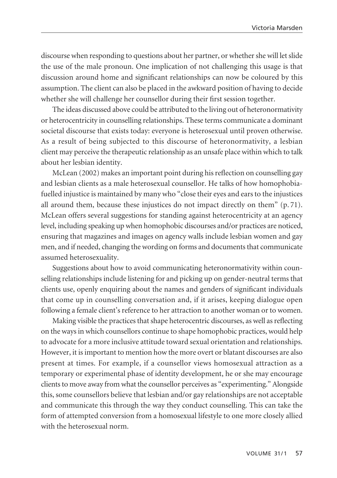discourse when responding to questions about her partner, or whether she will let slide the use of the male pronoun. One implication of not challenging this usage is that discussion around home and significant relationships can now be coloured by this assumption. The client can also be placed in the awkward position of having to decide whether she will challenge her counsellor during their first session together.

The ideas discussed above could be attributed to the living out of heteronormativity or heterocentricity in counselling relationships. These terms communicate a dominant societal discourse that exists today: everyone is heterosexual until proven otherwise. As a result of being subjected to this discourse of heteronormativity, a lesbian client may perceive the therapeutic relationship as an unsafe place within which to talk about her lesbian identity.

McLean (2002) makes an important point during his reflection on counselling gay and lesbian clients as a male heterosexual counsellor. He talks of how homophobiafuelled injustice is maintained by many who "close their eyes and ears to the injustices all around them, because these injustices do not impact directly on them" (p. 71). McLean offers several suggestions for standing against heterocentricity at an agency level, including speaking up when homophobic discourses and/or practices are noticed, ensuring that magazines and images on agency walls include lesbian women and gay men, and if needed, changing the wording on forms and documents that communicate assumed heterosexuality.

Suggestions about how to avoid communicating heteronormativity within counselling relationships include listening for and picking up on gender-neutral terms that clients use, openly enquiring about the names and genders of significant individuals that come up in counselling conversation and, if it arises, keeping dialogue open following a female client's reference to her attraction to another woman or to women.

Making visible the practices that shape heterocentric discourses, as well as reflecting on the ways in which counsellors continue to shape homophobic practices, would help to advocate for a more inclusive attitude toward sexual orientation and relationships. However, it is important to mention how the more overt or blatant discourses are also present at times. For example, if a counsellor views homosexual attraction as a temporary or experimental phase of identity development, he or she may encourage clients to move away from what the counsellor perceives as "experimenting." Alongside this, some counsellors believe that lesbian and/or gay relationships are not acceptable and communicate this through the way they conduct counselling. This can take the form of attempted conversion from a homosexual lifestyle to one more closely allied with the heterosexual norm.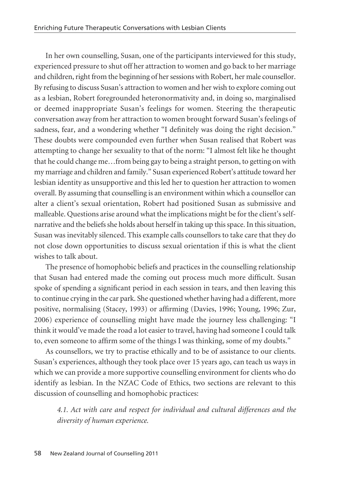In her own counselling, Susan, one of the participants interviewed for this study, experienced pressure to shut off her attraction to women and go back to her marriage and children, right from the beginning of her sessions with Robert, her male counsellor. By refusing to discuss Susan's attraction to women and her wish to explore coming out as a lesbian, Robert foregrounded heteronormativity and, in doing so, marginalised or deemed inappropriate Susan's feelings for women. Steering the therapeutic conversation away from her attraction to women brought forward Susan's feelings of sadness, fear, and a wondering whether "I definitely was doing the right decision." These doubts were compounded even further when Susan realised that Robert was attempting to change her sexuality to that of the norm: "I almost felt like he thought that he could change me…from being gay to being a straight person, to getting on with my marriage and children and family." Susan experienced Robert's attitude toward her lesbian identity as unsupportive and this led her to question her attraction to women overall. By assuming that counselling is an environment within which a counsellor can alter a client's sexual orientation, Robert had positioned Susan as submissive and malleable. Questions arise around what the implications might be for the client's selfnarrative and the beliefs she holds about herself in taking up this space. In this situation, Susan was inevitably silenced. This example calls counsellors to take care that they do not close down opportunities to discuss sexual orientation if this is what the client wishes to talk about.

The presence of homophobic beliefs and practices in the counselling relationship that Susan had entered made the coming out process much more difficult. Susan spoke of spending a significant period in each session in tears, and then leaving this to continue crying in the car park. She questioned whether having had a different, more positive, normalising (Stacey, 1993) or affirming (Davies, 1996; Young, 1996; Zur, 2006) experience of counselling might have made the journey less challenging: "I think it would've made the road a lot easier to travel, having had someone I could talk to, even someone to affirm some of the things I was thinking, some of my doubts."

As counsellors, we try to practise ethically and to be of assistance to our clients. Susan's experiences, although they took place over 15 years ago, can teach us ways in which we can provide a more supportive counselling environment for clients who do identify as lesbian. In the NZAC Code of Ethics, two sections are relevant to this discussion of counselling and homophobic practices:

*4.1. Act with care and respect for individual and cultural differences and the diversity of human experience.*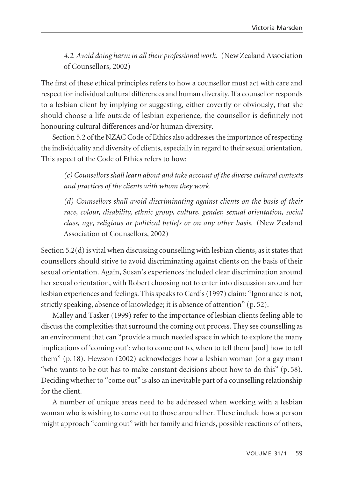*4.2. Avoid doing harm in all their professional work.* (New Zealand Association of Counsellors, 2002)

The first of these ethical principles refers to how a counsellor must act with care and respect for individual cultural differences and human diversity. If a counsellor responds to a lesbian client by implying or suggesting, either covertly or obviously, that she should choose a life outside of lesbian experience, the counsellor is definitely not honouring cultural differences and/or human diversity.

Section 5.2 of the NZAC Code of Ethics also addresses the importance of respecting the individuality and diversity of clients, especially in regard to their sexual orientation. This aspect of the Code of Ethics refers to how:

*(c) Counsellors shall learn about and take account of the diverse cultural contexts and practices of the clients with whom they work.*

*(d) Counsellors shall avoid discriminating against clients on the basis of their race, colour, disability, ethnic group, culture, gender, sexual orientation, social class, age, religious or political beliefs or on any other basis.* (New Zealand Association of Counsellors, 2002)

Section 5.2(d) is vital when discussing counselling with lesbian clients, as it states that counsellors should strive to avoid discriminating against clients on the basis of their sexual orientation. Again, Susan's experiences included clear discrimination around her sexual orientation, with Robert choosing not to enter into discussion around her lesbian experiences and feelings. This speaks to Card's (1997) claim: "Ignorance is not, strictly speaking, absence of knowledge; it is absence of attention" (p. 52).

Malley and Tasker (1999) refer to the importance of lesbian clients feeling able to discuss the complexities that surround the coming out process. They see counselling as an environment that can "provide a much needed space in which to explore the many implications of 'coming out': who to come out to, when to tell them [and] how to tell them" (p. 18). Hewson (2002) acknowledges how a lesbian woman (or a gay man) "who wants to be out has to make constant decisions about how to do this" (p. 58). Deciding whether to "come out" is also an inevitable part of a counselling relationship for the client.

A number of unique areas need to be addressed when working with a lesbian woman who is wishing to come out to those around her. These include how a person might approach "coming out" with her family and friends, possible reactions of others,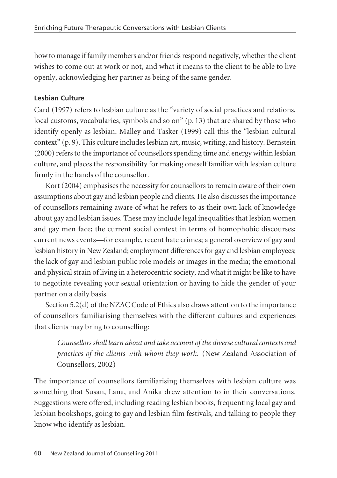how to manage if family members and/or friends respond negatively, whether the client wishes to come out at work or not, and what it means to the client to be able to live openly, acknowledging her partner as being of the same gender.

# **Lesbian Culture**

Card (1997) refers to lesbian culture as the "variety of social practices and relations, local customs, vocabularies, symbols and so on" (p. 13) that are shared by those who identify openly as lesbian. Malley and Tasker (1999) call this the "lesbian cultural context" (p. 9). This culture includes lesbian art, music, writing, and history. Bernstein (2000) refers to the importance of counsellors spending time and energy within lesbian culture, and places the responsibility for making oneself familiar with lesbian culture firmly in the hands of the counsellor.

Kort (2004) emphasises the necessity for counsellors to remain aware of their own assumptions about gay and lesbian people and clients. He also discusses the importance of counsellors remaining aware of what he refers to as their own lack of knowledge about gay and lesbian issues. These may include legal inequalities that lesbian women and gay men face; the current social context in terms of homophobic discourses; current news events—for example, recent hate crimes; a general overview of gay and lesbian history in New Zealand; employment differences for gay and lesbian employees; the lack of gay and lesbian public role models or images in the media; the emotional and physical strain of living in a heterocentric society, and what it might be like to have to negotiate revealing your sexual orientation or having to hide the gender of your partner on a daily basis.

Section 5.2(d) of the NZAC Code of Ethics also draws attention to the importance of counsellors familiarising themselves with the different cultures and experiences that clients may bring to counselling:

*Counsellors shall learn about and take account of the diverse cultural contexts and practices of the clients with whom they work.* (New Zealand Association of Counsellors, 2002)

The importance of counsellors familiarising themselves with lesbian culture was something that Susan, Lana, and Anika drew attention to in their conversations. Suggestions were offered, including reading lesbian books, frequenting local gay and lesbian bookshops, going to gay and lesbian film festivals, and talking to people they know who identify as lesbian.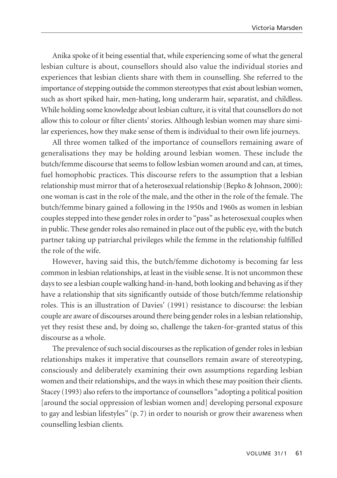Anika spoke of it being essential that, while experiencing some of what the general lesbian culture is about, counsellors should also value the individual stories and experiences that lesbian clients share with them in counselling. She referred to the importance of stepping outside the common stereotypes that exist about lesbian women, such as short spiked hair, men-hating, long underarm hair, separatist, and childless. While holding some knowledge about lesbian culture, it is vital that counsellors do not allow this to colour or filter clients' stories. Although lesbian women may share similar experiences, how they make sense of them is individual to their own life journeys.

All three women talked of the importance of counsellors remaining aware of generalisations they may be holding around lesbian women. These include the butch/femme discourse that seems to follow lesbian women around and can, at times, fuel homophobic practices. This discourse refers to the assumption that a lesbian relationship must mirror that of a heterosexual relationship (Bepko & Johnson, 2000): one woman is cast in the role of the male, and the other in the role of the female. The butch/femme binary gained a following in the 1950s and 1960s as women in lesbian couples stepped into these gender roles in order to "pass" as heterosexual couples when in public. These gender roles also remained in place out of the public eye, with the butch partner taking up patriarchal privileges while the femme in the relationship fulfilled the role of the wife.

However, having said this, the butch/femme dichotomy is becoming far less common in lesbian relationships, at least in the visible sense. It is not uncommon these days to see a lesbian couple walking hand-in-hand, both looking and behaving as if they have a relationship that sits significantly outside of those butch/femme relationship roles. This is an illustration of Davies' (1991) resistance to discourse: the lesbian couple are aware of discourses around there being gender roles in a lesbian relationship, yet they resist these and, by doing so, challenge the taken-for-granted status of this discourse as a whole.

The prevalence of such social discourses as the replication of gender roles in lesbian relationships makes it imperative that counsellors remain aware of stereotyping, consciously and deliberately examining their own assumptions regarding lesbian women and their relationships, and the ways in which these may position their clients. Stacey (1993) also refers to the importance of counsellors "adopting a political position [around the social oppression of lesbian women and] developing personal exposure to gay and lesbian lifestyles" (p. 7) in order to nourish or grow their awareness when counselling lesbian clients.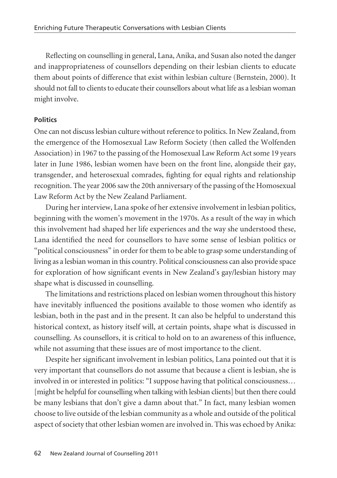Reflecting on counselling in general, Lana, Anika, and Susan also noted the danger and inappropriateness of counsellors depending on their lesbian clients to educate them about points of difference that exist within lesbian culture (Bernstein, 2000). It should not fall to clients to educate their counsellors about what life as a lesbian woman might involve.

# **Politics**

One can not discuss lesbian culture without reference to politics. In New Zealand, from the emergence of the Homosexual Law Reform Society (then called the Wolfenden Association) in 1967 to the passing of the Homosexual Law Reform Act some 19 years later in June 1986, lesbian women have been on the front line, alongside their gay, transgender, and heterosexual comrades, fighting for equal rights and relationship recognition. The year 2006 saw the 20th anniversary of the passing of the Homosexual Law Reform Act by the New Zealand Parliament.

During her interview, Lana spoke of her extensive involvement in lesbian politics, beginning with the women's movement in the 1970s. As a result of the way in which this involvement had shaped her life experiences and the way she understood these, Lana identified the need for counsellors to have some sense of lesbian politics or "political consciousness" in order for them to be able to grasp some understanding of living as a lesbian woman in this country. Political consciousness can also provide space for exploration of how significant events in New Zealand's gay/lesbian history may shape what is discussed in counselling.

The limitations and restrictions placed on lesbian women throughout this history have inevitably influenced the positions available to those women who identify as lesbian, both in the past and in the present. It can also be helpful to understand this historical context, as history itself will, at certain points, shape what is discussed in counselling. As counsellors, it is critical to hold on to an awareness of this influence, while not assuming that these issues are of most importance to the client.

Despite her significant involvement in lesbian politics, Lana pointed out that it is very important that counsellors do not assume that because a client is lesbian, she is involved in or interested in politics: "I suppose having that political consciousness… [might be helpful for counselling when talking with lesbian clients] but then there could be many lesbians that don't give a damn about that." In fact, many lesbian women choose to live outside of the lesbian community as a whole and outside of the political aspect of society that other lesbian women are involved in. This was echoed by Anika: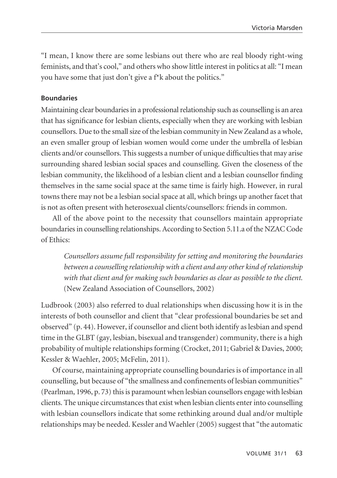"I mean, I know there are some lesbians out there who are real bloody right-wing feminists, and that's cool," and others who show little interest in politics at all: "I mean you have some that just don't give a f\*k about the politics."

### **Boundaries**

Maintaining clear boundaries in a professional relationship such as counselling is an area that has significance for lesbian clients, especially when they are working with lesbian counsellors. Due to the small size of the lesbian community in New Zealand as a whole, an even smaller group of lesbian women would come under the umbrella of lesbian clients and/or counsellors. This suggests a number of unique difficulties that may arise surrounding shared lesbian social spaces and counselling. Given the closeness of the lesbian community, the likelihood of a lesbian client and a lesbian counsellor finding themselves in the same social space at the same time is fairly high. However, in rural towns there may not be a lesbian social space at all, which brings up another facet that is not as often present with heterosexual clients/counsellors: friends in common.

All of the above point to the necessity that counsellors maintain appropriate boundaries in counselling relationships. According to Section 5.11.a of the NZAC Code of Ethics:

*Counsellors assume full responsibility for setting and monitoring the boundaries between a counselling relationship with a client and any other kind of relationship with that client and for making such boundaries as clear as possible to the client.* (New Zealand Association of Counsellors, 2002)

Ludbrook (2003) also referred to dual relationships when discussing how it is in the interests of both counsellor and client that "clear professional boundaries be set and observed" (p. 44). However, if counsellor and client both identify as lesbian and spend time in the GLBT (gay, lesbian, bisexual and transgender) community, there is a high probability of multiple relationships forming (Crocket, 2011; Gabriel & Davies, 2000; Kessler & Waehler, 2005; McFelin, 2011).

Of course, maintaining appropriate counselling boundaries is of importance in all counselling, but because of "the smallness and confinements of lesbian communities" (Pearlman, 1996, p. 73) this is paramount when lesbian counsellors engage with lesbian clients. The unique circumstances that exist when lesbian clients enter into counselling with lesbian counsellors indicate that some rethinking around dual and/or multiple relationships may be needed. Kessler and Waehler (2005) suggest that "the automatic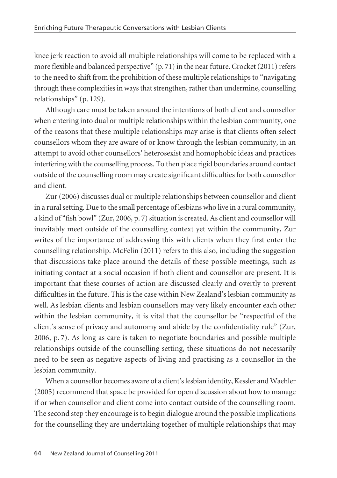knee jerk reaction to avoid all multiple relationships will come to be replaced with a more flexible and balanced perspective" (p. 71) in the near future. Crocket (2011) refers to the need to shift from the prohibition of these multiple relationships to "navigating through these complexities in ways that strengthen, rather than undermine, counselling relationships" (p. 129).

Although care must be taken around the intentions of both client and counsellor when entering into dual or multiple relationships within the lesbian community, one of the reasons that these multiple relationships may arise is that clients often select counsellors whom they are aware of or know through the lesbian community, in an attempt to avoid other counsellors' heterosexist and homophobic ideas and practices interfering with the counselling process. To then place rigid boundaries around contact outside of the counselling room may create significant difficulties for both counsellor and client.

Zur (2006) discusses dual or multiple relationships between counsellor and client in a rural setting. Due to the small percentage of lesbians who live in a rural community, a kind of "fish bowl" (Zur, 2006, p. 7) situation is created. As client and counsellor will inevitably meet outside of the counselling context yet within the community, Zur writes of the importance of addressing this with clients when they first enter the counselling relationship. McFelin (2011) refers to this also, including the suggestion that discussions take place around the details of these possible meetings, such as initiating contact at a social occasion if both client and counsellor are present. It is important that these courses of action are discussed clearly and overtly to prevent difficulties in the future. This is the case within New Zealand's lesbian community as well. As lesbian clients and lesbian counsellors may very likely encounter each other within the lesbian community, it is vital that the counsellor be "respectful of the client's sense of privacy and autonomy and abide by the confidentiality rule" (Zur, 2006, p. 7). As long as care is taken to negotiate boundaries and possible multiple relationships outside of the counselling setting, these situations do not necessarily need to be seen as negative aspects of living and practising as a counsellor in the lesbian community.

When a counsellor becomes aware of a client's lesbian identity, Kessler and Waehler (2005) recommend that space be provided for open discussion about how to manage if or when counsellor and client come into contact outside of the counselling room. The second step they encourage is to begin dialogue around the possible implications for the counselling they are undertaking together of multiple relationships that may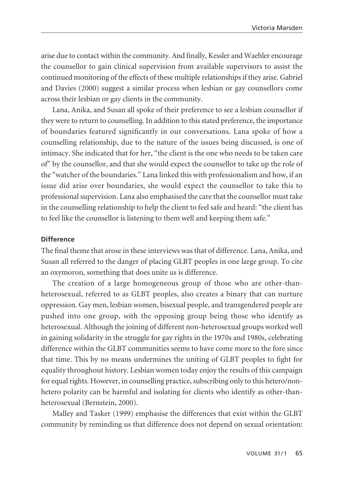arise due to contact within the community. And finally, Kessler and Waehler encourage the counsellor to gain clinical supervision from available supervisors to assist the continued monitoring of the effects of these multiple relationships if they arise. Gabriel and Davies (2000) suggest a similar process when lesbian or gay counsellors come across their lesbian or gay clients in the community.

Lana, Anika, and Susan all spoke of their preference to see a lesbian counsellor if they were to return to counselling. In addition to this stated preference, the importance of boundaries featured significantly in our conversations. Lana spoke of how a counselling relationship, due to the nature of the issues being discussed, is one of intimacy. She indicated that for her, "the client is the one who needs to be taken care of" by the counsellor, and that she would expect the counsellor to take up the role of the "watcher of the boundaries." Lana linked this with professionalism and how, if an issue did arise over boundaries, she would expect the counsellor to take this to professional supervision. Lana also emphasised the care that the counsellor must take in the counselling relationship to help the client to feel safe and heard: "the client has to feel like the counsellor is listening to them well and keeping them safe."

## **Difference**

The final theme that arose in these interviews was that of difference. Lana, Anika, and Susan all referred to the danger of placing GLBT peoples in one large group. To cite an oxymoron, something that does unite us is difference.

The creation of a large homogeneous group of those who are other-thanheterosexual, referred to as GLBT peoples, also creates a binary that can nurture oppression. Gay men, lesbian women, bisexual people, and transgendered people are pushed into one group, with the opposing group being those who identify as heterosexual. Although the joining of different non-heterosexual groups worked well in gaining solidarity in the struggle for gay rights in the 1970s and 1980s, celebrating difference within the GLBT communities seems to have come more to the fore since that time. This by no means undermines the uniting of GLBT peoples to fight for equality throughout history. Lesbian women today enjoy the results of this campaign for equal rights. However, in counselling practice, subscribing only to this hetero/nonhetero polarity can be harmful and isolating for clients who identify as other-thanheterosexual (Bernstein, 2000).

Malley and Tasker (1999) emphasise the differences that exist within the GLBT community by reminding us that difference does not depend on sexual orientation: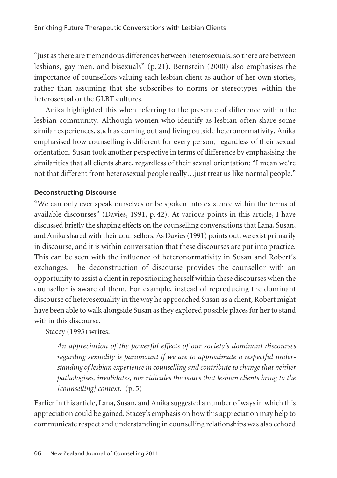"just as there are tremendous differences between heterosexuals, so there are between lesbians, gay men, and bisexuals" (p. 21). Bernstein (2000) also emphasises the importance of counsellors valuing each lesbian client as author of her own stories, rather than assuming that she subscribes to norms or stereotypes within the heterosexual or the GLBT cultures.

Anika highlighted this when referring to the presence of difference within the lesbian community. Although women who identify as lesbian often share some similar experiences, such as coming out and living outside heteronormativity, Anika emphasised how counselling is different for every person, regardless of their sexual orientation. Susan took another perspective in terms of difference by emphasising the similarities that all clients share, regardless of their sexual orientation: "I mean we're not that different from heterosexual people really…just treat us like normal people."

## **Deconstructing Discourse**

"We can only ever speak ourselves or be spoken into existence within the terms of available discourses" (Davies, 1991, p. 42). At various points in this article, I have discussed briefly the shaping effects on the counselling conversations that Lana, Susan, and Anika shared with their counsellors. As Davies (1991) points out, we exist primarily in discourse, and it is within conversation that these discourses are put into practice. This can be seen with the influence of heteronormativity in Susan and Robert's exchanges. The deconstruction of discourse provides the counsellor with an opportunity to assist a client in repositioning herself within these discourses when the counsellor is aware of them. For example, instead of reproducing the dominant discourse of heterosexuality in the way he approached Susan as a client, Robert might have been able to walk alongside Susan as they explored possible places for her to stand within this discourse.

Stacey (1993) writes:

*An appreciation of the powerful effects of our society's dominant discourses regarding sexuality is paramount if we are to approximate a respectful under standing of lesbian experience in counselling and contribute to change that neither pathologises, invalidates, nor ridicules the issues that lesbian clients bring to the [counselling] context.* (p. 5)

Earlier in this article, Lana, Susan, and Anika suggested a number of ways in which this appreciation could be gained. Stacey's emphasis on how this appreciation may help to communicate respect and understanding in counselling relationships was also echoed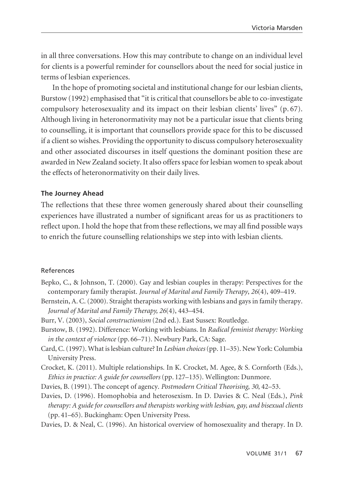in all three conversations. How this may contribute to change on an individual level for clients is a powerful reminder for counsellors about the need for social justice in terms of lesbian experiences.

In the hope of promoting societal and institutional change for our lesbian clients, Burstow (1992) emphasised that "it is critical that counsellors be able to co-investigate compulsory heterosexuality and its impact on their lesbian clients' lives" (p. 67). Although living in heteronormativity may not be a particular issue that clients bring to counselling, it is important that counsellors provide space for this to be discussed if a client so wishes. Providing the opportunity to discuss compulsory heterosexuality and other associated discourses in itself questions the dominant position these are awarded in New Zealand society. It also offers space for lesbian women to speak about the effects of heteronormativity on their daily lives.

#### **The Journey Ahead**

The reflections that these three women generously shared about their counselling experiences have illustrated a number of significant areas for us as practitioners to reflect upon. I hold the hope that from these reflections, we may all find possible ways to enrich the future counselling relationships we step into with lesbian clients.

#### References

- Bepko, C., & Johnson, T. (2000). Gay and lesbian couples in therapy: Perspectives for the contemporary family therapist. *Journal of Marital and Family Therapy*, *26*(4), 409–419.
- Bernstein, A. C. (2000). Straight therapists working with lesbians and gays in family therapy. *Journal of Marital and Family Therapy, 26*(4), 443–454.
- Burr, V. (2003), *Social constructionism* (2nd ed.). East Sussex: Routledge.
- Burstow, B. (1992). Difference: Working with lesbians. In *Radical feminist therapy: Working in the context of violence* (pp. 66–71). Newbury Park, CA: Sage.
- Card, C. (1997). What is lesbian culture? In *Lesbian choices*(pp. 11–35). New York: Columbia University Press.
- Crocket, K. (2011). Multiple relationships. In K. Crocket, M. Agee, & S. Cornforth (Eds.), *Ethics in practice: A guide for counsellors* (pp. 127–135). Wellington: Dunmore.
- Davies, B. (1991). The concept of agency. *Postmodern Critical Theorising*, *30*, 42–53.
- Davies, D. (1996). Homophobia and heterosexism. In D. Davies & C. Neal (Eds.), *Pink therapy: A guide for counsellors and therapists working with lesbian, gay, and bisexual clients* (pp. 41–65). Buckingham: Open University Press.

Davies, D. & Neal, C. (1996). An historical overview of homosexuality and therapy. In D.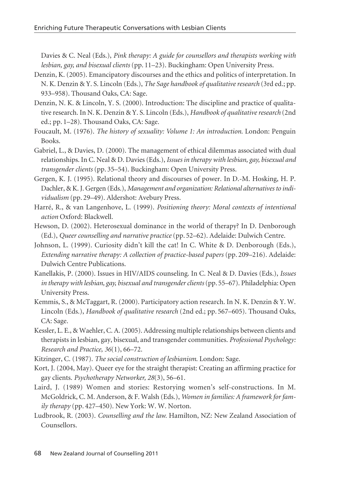Davies & C. Neal (Eds.), *Pink therapy: A guide for counsellors and therapists working with lesbian, gay, and bisexual clients* (pp. 11–23). Buckingham: Open University Press.

- Denzin, K. (2005). Emancipatory discourses and the ethics and politics of interpretation. In N. K. Denzin & Y. S. Lincoln (Eds.), *The Sage handbook of qualitative research* (3rd ed.; pp. 933–958). Thousand Oaks, CA: Sage.
- Denzin, N. K. & Lincoln, Y. S. (2000). Introduction: The discipline and practice of qualitative research. In N. K. Denzin & Y. S. Lincoln (Eds.), *Handbook of qualitative research* (2nd ed.; pp. 1–28). Thousand Oaks, CA: Sage.
- Foucault, M. (1976). *The history of sexuality: Volume 1: An introduction*. London: Penguin Books.
- Gabriel, L., & Davies, D. (2000). The management of ethical dilemmas associated with dual relationships. In C. Neal & D. Davies (Eds.), *Issues in therapy with lesbian, gay, bisexual and transgender clients* (pp. 35–54). Buckingham: Open University Press.
- Gergen, K. J. (1995). Relational theory and discourses of power. In D.-M. Hosking, H. P. Dachler, & K. J. Gergen (Eds.), *Management and organization: Relational alternatives to individualism* (pp. 29–49). Aldershot: Avebury Press.
- Harré, R., & van Langenhove, L. (1999). *Positioning theory: Moral contexts of intentional action* Oxford: Blackwell.
- Hewson, D. (2002). Heterosexual dominance in the world of therapy? In D. Denborough (Ed.), *Queer counselling and narrative practice* (pp. 52–62). Adelaide: Dulwich Centre.
- Johnson, L. (1999). Curiosity didn't kill the cat! In C. White & D. Denborough (Eds.), *Extending narrative therapy: A collection of practice-based papers* (pp. 209–216)*.* Adelaide: Dulwich Centre Publications.
- Kanellakis, P. (2000). Issues in HIV/AIDS counseling. In C. Neal & D. Davies (Eds.), *Issues in therapy with lesbian, gay, bisexual and transgender clients*(pp. 55–67). Philadelphia: Open University Press.
- Kemmis, S., & McTaggart, R. (2000). Participatory action research. In N. K. Denzin & Y. W. Lincoln (Eds.), *Handbook of qualitative research* (2nd ed.; pp. 567–605). Thousand Oaks, CA: Sage.
- Kessler, L. E., & Waehler, C. A. (2005). Addressing multiple relationships between clients and therapists in lesbian, gay, bisexual, and transgender communities. *Professional Psychology: Research and Practice, 36*(1), 66–72.
- Kitzinger, C. (1987). *The social construction of lesbianism*. London: Sage.
- Kort, J. (2004, May). Queer eye for the straight therapist: Creating an affirming practice for gay clients. *Psychotherapy Networker, 28*(3), 56–61.
- Laird, J. (1989) Women and stories: Restorying women's self-constructions. In M. McGoldrick, C. M. Anderson, & F. Walsh (Eds.), *Women in families: A framework for family therapy* (pp. 427–450). New York: W. W. Norton.
- Ludbrook, R. (2003). *Counselling and the law.* Hamilton, NZ: New Zealand Association of Counsellors.